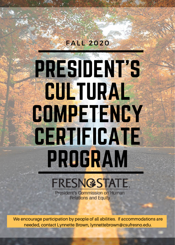# PRESIDENT'S **CULTURAL COMPETENCY** CERTIFICATE PROGRAM

**FALL 2020** 

## FRESNGSTATE.

**President's Commission on Human Relations and Equity** 

We encourage participation by people of all abilities. If accommodations are needed, contact Lynnette Brown, lynnettebrown@csufresno.edu.